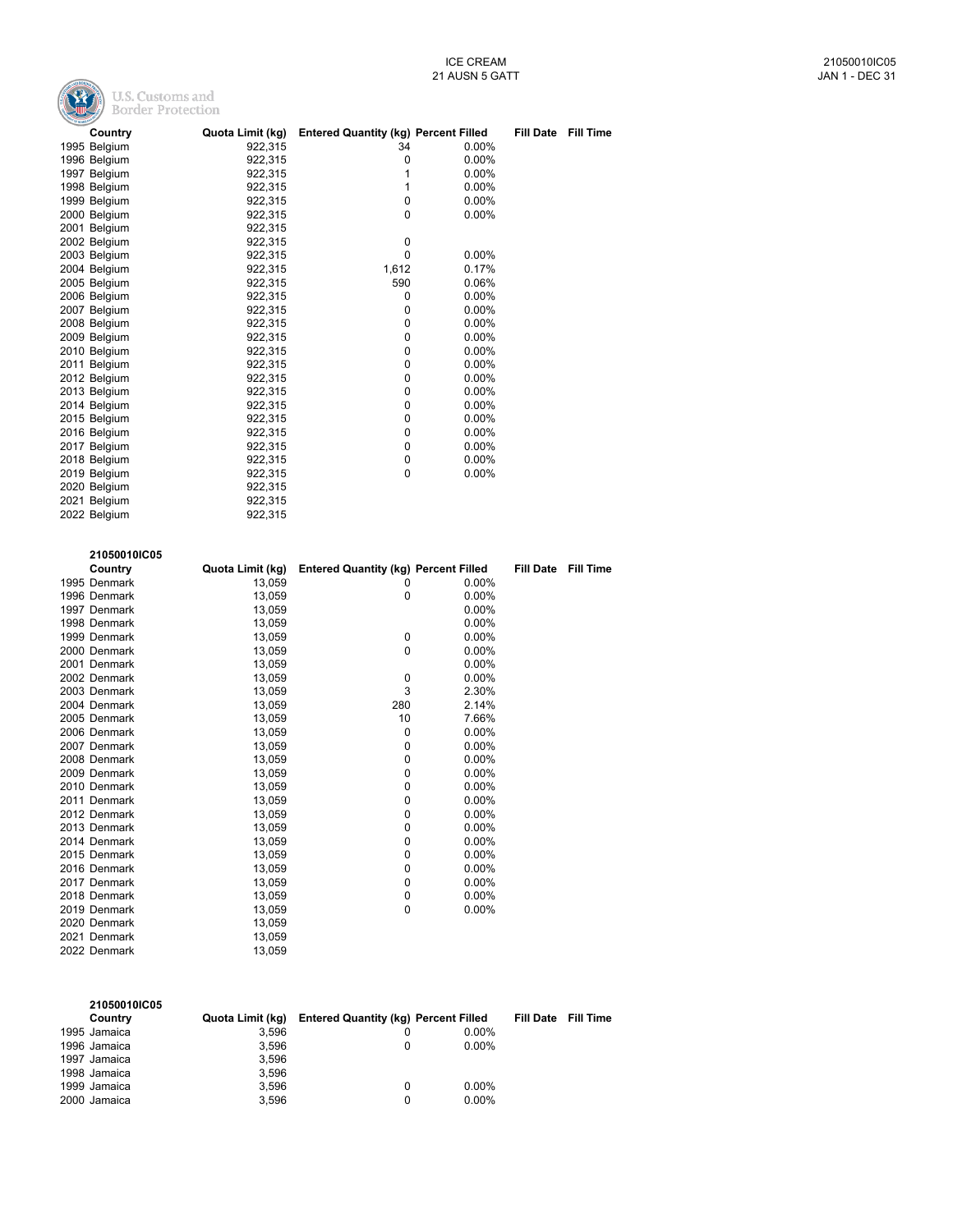

| <b>CONTRACTOR</b> |                  |                                             |          |                  |           |
|-------------------|------------------|---------------------------------------------|----------|------------------|-----------|
| Country           | Quota Limit (kg) | <b>Entered Quantity (kg) Percent Filled</b> |          | <b>Fill Date</b> | Fill Time |
| 1995 Belgium      | 922,315          | 34                                          | $0.00\%$ |                  |           |
| 1996 Belgium      | 922,315          | 0                                           | 0.00%    |                  |           |
| 1997 Belgium      | 922,315          | 1                                           | 0.00%    |                  |           |
| 1998 Belgium      | 922,315          | 1                                           | 0.00%    |                  |           |
| 1999 Belgium      | 922,315          | $\Omega$                                    | 0.00%    |                  |           |
| 2000 Belgium      | 922,315          | 0                                           | 0.00%    |                  |           |
| 2001 Belgium      | 922,315          |                                             |          |                  |           |
| 2002 Belgium      | 922,315          | $\mathbf 0$                                 |          |                  |           |
| 2003 Belgium      | 922,315          | $\Omega$                                    | 0.00%    |                  |           |
| 2004 Belgium      | 922,315          | 1,612                                       | 0.17%    |                  |           |
| 2005 Belgium      | 922.315          | 590                                         | 0.06%    |                  |           |
| 2006 Belgium      | 922,315          | 0                                           | 0.00%    |                  |           |
| 2007 Belgium      | 922,315          | $\Omega$                                    | 0.00%    |                  |           |
| 2008 Belgium      | 922,315          | 0                                           | 0.00%    |                  |           |
| 2009 Belgium      | 922,315          | $\Omega$                                    | 0.00%    |                  |           |
| 2010 Belgium      | 922,315          | $\mathbf 0$                                 | 0.00%    |                  |           |
| 2011 Belgium      | 922,315          | $\Omega$                                    | 0.00%    |                  |           |
| 2012 Belgium      | 922,315          | 0                                           | 0.00%    |                  |           |
| 2013 Belgium      | 922.315          | 0                                           | 0.00%    |                  |           |
| 2014 Belgium      | 922,315          | 0                                           | 0.00%    |                  |           |
| 2015 Belgium      | 922,315          | 0                                           | 0.00%    |                  |           |
| 2016 Belgium      | 922,315          | 0                                           | 0.00%    |                  |           |
| 2017 Belgium      | 922,315          | 0                                           | 0.00%    |                  |           |
| 2018 Belgium      | 922,315          | $\mathbf 0$                                 | 0.00%    |                  |           |
| 2019 Belgium      | 922,315          | 0                                           | 0.00%    |                  |           |
| 2020 Belgium      | 922,315          |                                             |          |                  |           |
| 2021 Belgium      | 922,315          |                                             |          |                  |           |
| 2022 Belgium      | 922,315          |                                             |          |                  |           |
|                   |                  |                                             |          |                  |           |

| 21050010IC05 |                  |                                             |          |                  |                  |
|--------------|------------------|---------------------------------------------|----------|------------------|------------------|
| Country      | Quota Limit (kg) | <b>Entered Quantity (kg) Percent Filled</b> |          | <b>Fill Date</b> | <b>Fill Time</b> |
| 1995 Denmark | 13,059           | 0                                           | 0.00%    |                  |                  |
| 1996 Denmark | 13,059           | 0                                           | 0.00%    |                  |                  |
| 1997 Denmark | 13,059           |                                             | 0.00%    |                  |                  |
| 1998 Denmark | 13,059           |                                             | 0.00%    |                  |                  |
| 1999 Denmark | 13,059           | 0                                           | 0.00%    |                  |                  |
| 2000 Denmark | 13,059           | 0                                           | 0.00%    |                  |                  |
| 2001 Denmark | 13,059           |                                             | 0.00%    |                  |                  |
| 2002 Denmark | 13,059           | $\mathbf 0$                                 | 0.00%    |                  |                  |
| 2003 Denmark | 13,059           | 3                                           | 2.30%    |                  |                  |
| 2004 Denmark | 13,059           | 280                                         | 2.14%    |                  |                  |
| 2005 Denmark | 13,059           | 10                                          | 7.66%    |                  |                  |
| 2006 Denmark | 13,059           | 0                                           | 0.00%    |                  |                  |
| 2007 Denmark | 13,059           | 0                                           | 0.00%    |                  |                  |
| 2008 Denmark | 13,059           | 0                                           | 0.00%    |                  |                  |
| 2009 Denmark | 13,059           | 0                                           | $0.00\%$ |                  |                  |
| 2010 Denmark | 13,059           | 0                                           | 0.00%    |                  |                  |
| 2011 Denmark | 13,059           | 0                                           | 0.00%    |                  |                  |
| 2012 Denmark | 13,059           | 0                                           | $0.00\%$ |                  |                  |
| 2013 Denmark | 13.059           | 0                                           | 0.00%    |                  |                  |
| 2014 Denmark | 13,059           | 0                                           | 0.00%    |                  |                  |
| 2015 Denmark | 13,059           | 0                                           | $0.00\%$ |                  |                  |
| 2016 Denmark | 13,059           | 0                                           | 0.00%    |                  |                  |
| 2017 Denmark | 13,059           | 0                                           | $0.00\%$ |                  |                  |
| 2018 Denmark | 13,059           | 0                                           | $0.00\%$ |                  |                  |
| 2019 Denmark | 13.059           | 0                                           | 0.00%    |                  |                  |
| 2020 Denmark | 13,059           |                                             |          |                  |                  |
| 2021 Denmark | 13.059           |                                             |          |                  |                  |
| 2022 Denmark | 13,059           |                                             |          |                  |                  |

| 21050010IC05<br>Country | Quota Limit (kg) | <b>Entered Quantity (kg) Percent Filled</b> |          | Fill Date Fill Time |
|-------------------------|------------------|---------------------------------------------|----------|---------------------|
| 1995 Jamaica            | 3.596            |                                             | $0.00\%$ |                     |
|                         |                  |                                             |          |                     |
| 1996 Jamaica            | 3.596            |                                             | $0.00\%$ |                     |
| 1997 Jamaica            | 3.596            |                                             |          |                     |
| 1998 Jamaica            | 3.596            |                                             |          |                     |
| 1999 Jamaica            | 3.596            |                                             | $0.00\%$ |                     |
| 2000 Jamaica            | 3.596            |                                             | $0.00\%$ |                     |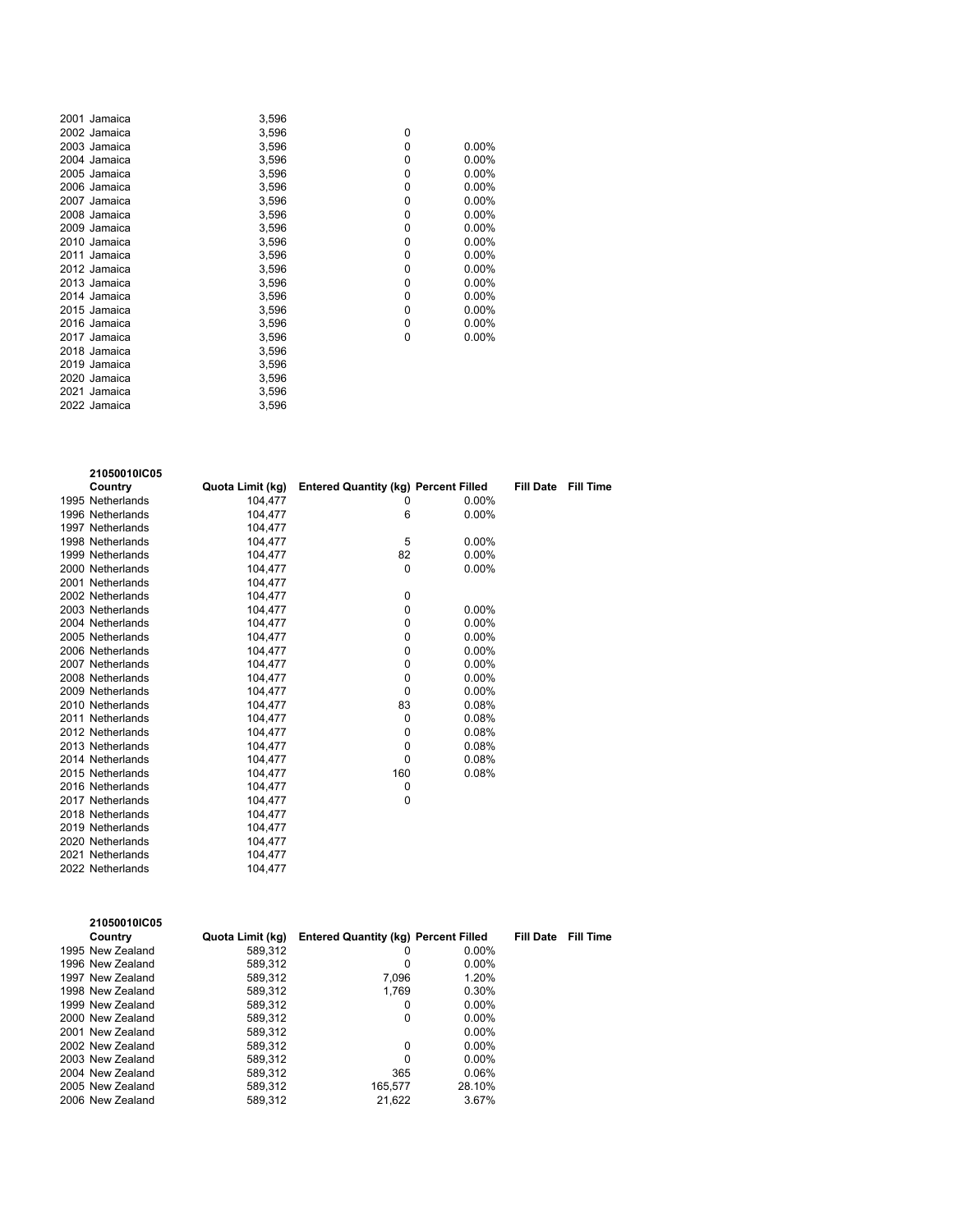| 2001 Jamaica | 3,596 |   |          |
|--------------|-------|---|----------|
| 2002 Jamaica | 3,596 | 0 |          |
| 2003 Jamaica | 3,596 | 0 | $0.00\%$ |
| 2004 Jamaica | 3,596 | 0 | $0.00\%$ |
| 2005 Jamaica | 3,596 | 0 | $0.00\%$ |
| 2006 Jamaica | 3,596 | 0 | $0.00\%$ |
| 2007 Jamaica | 3.596 | 0 | 0.00%    |
| 2008 Jamaica | 3,596 | 0 | $0.00\%$ |
| 2009 Jamaica | 3,596 | 0 | $0.00\%$ |
| 2010 Jamaica | 3,596 | 0 | $0.00\%$ |
| 2011 Jamaica | 3,596 | 0 | $0.00\%$ |
| 2012 Jamaica | 3,596 | 0 | $0.00\%$ |
| 2013 Jamaica | 3,596 | 0 | 0.00%    |
| 2014 Jamaica | 3,596 | 0 | $0.00\%$ |
| 2015 Jamaica | 3,596 | 0 | $0.00\%$ |
| 2016 Jamaica | 3,596 | 0 | 0.00%    |
| 2017 Jamaica | 3,596 | 0 | $0.00\%$ |
| 2018 Jamaica | 3,596 |   |          |
| 2019 Jamaica | 3,596 |   |          |
| 2020 Jamaica | 3,596 |   |          |
| 2021 Jamaica | 3,596 |   |          |
| 2022 Jamaica | 3,596 |   |          |
|              |       |   |          |

| 21050010IC05     |                  |                                             |          |                  |                  |
|------------------|------------------|---------------------------------------------|----------|------------------|------------------|
| Country          | Quota Limit (kg) | <b>Entered Quantity (kg) Percent Filled</b> |          | <b>Fill Date</b> | <b>Fill Time</b> |
| 1995 Netherlands | 104.477          | 0                                           | $0.00\%$ |                  |                  |
| 1996 Netherlands | 104,477          | 6                                           | $0.00\%$ |                  |                  |
| 1997 Netherlands | 104,477          |                                             |          |                  |                  |
| 1998 Netherlands | 104,477          | 5                                           | 0.00%    |                  |                  |
| 1999 Netherlands | 104,477          | 82                                          | 0.00%    |                  |                  |
| 2000 Netherlands | 104.477          | $\Omega$                                    | $0.00\%$ |                  |                  |
| 2001 Netherlands | 104,477          |                                             |          |                  |                  |
| 2002 Netherlands | 104,477          | 0                                           |          |                  |                  |
| 2003 Netherlands | 104,477          | 0                                           | 0.00%    |                  |                  |
| 2004 Netherlands | 104,477          | 0                                           | 0.00%    |                  |                  |
| 2005 Netherlands | 104,477          | 0                                           | $0.00\%$ |                  |                  |
| 2006 Netherlands | 104.477          | 0                                           | $0.00\%$ |                  |                  |
| 2007 Netherlands | 104,477          | 0                                           | $0.00\%$ |                  |                  |
| 2008 Netherlands | 104,477          | 0                                           | $0.00\%$ |                  |                  |
| 2009 Netherlands | 104,477          | 0                                           | 0.00%    |                  |                  |
| 2010 Netherlands | 104,477          | 83                                          | 0.08%    |                  |                  |
| 2011 Netherlands | 104.477          | 0                                           | 0.08%    |                  |                  |
| 2012 Netherlands | 104,477          | 0                                           | 0.08%    |                  |                  |
| 2013 Netherlands | 104,477          | 0                                           | 0.08%    |                  |                  |
| 2014 Netherlands | 104,477          | 0                                           | 0.08%    |                  |                  |
| 2015 Netherlands | 104,477          | 160                                         | 0.08%    |                  |                  |
| 2016 Netherlands | 104,477          | 0                                           |          |                  |                  |
| 2017 Netherlands | 104.477          | 0                                           |          |                  |                  |
| 2018 Netherlands | 104,477          |                                             |          |                  |                  |
| 2019 Netherlands | 104,477          |                                             |          |                  |                  |
| 2020 Netherlands | 104,477          |                                             |          |                  |                  |
| 2021 Netherlands | 104,477          |                                             |          |                  |                  |
| 2022 Netherlands | 104.477          |                                             |          |                  |                  |

| 21050010IC05     |                  |                                             |          |                  |                  |
|------------------|------------------|---------------------------------------------|----------|------------------|------------------|
| Country          | Quota Limit (kg) | <b>Entered Quantity (kg) Percent Filled</b> |          | <b>Fill Date</b> | <b>Fill Time</b> |
| 1995 New Zealand | 589.312          | 0                                           | $0.00\%$ |                  |                  |
| 1996 New Zealand | 589.312          | 0                                           | $0.00\%$ |                  |                  |
| 1997 New Zealand | 589.312          | 7.096                                       | 1.20%    |                  |                  |
| 1998 New Zealand | 589.312          | 1.769                                       | 0.30%    |                  |                  |
| 1999 New Zealand | 589,312          | 0                                           | $0.00\%$ |                  |                  |
| 2000 New Zealand | 589.312          | 0                                           | $0.00\%$ |                  |                  |
| 2001 New Zealand | 589.312          |                                             | $0.00\%$ |                  |                  |
| 2002 New Zealand | 589.312          | 0                                           | $0.00\%$ |                  |                  |
| 2003 New Zealand | 589.312          | $\Omega$                                    | $0.00\%$ |                  |                  |
| 2004 New Zealand | 589.312          | 365                                         | 0.06%    |                  |                  |
| 2005 New Zealand | 589.312          | 165.577                                     | 28.10%   |                  |                  |
| 2006 New Zealand | 589.312          | 21.622                                      | 3.67%    |                  |                  |